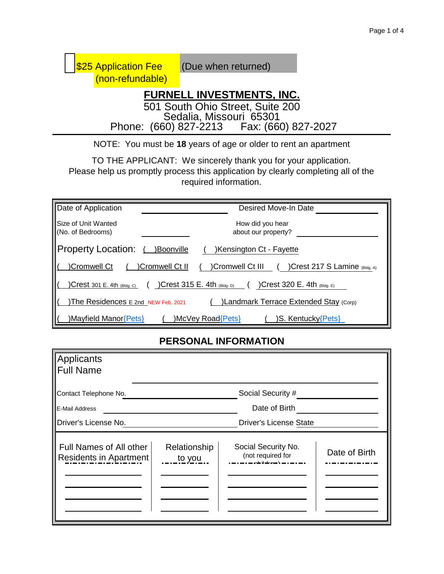| <b>S25 Application Fee</b><br>(non-refundable) | (Due when returned)                                                     |
|------------------------------------------------|-------------------------------------------------------------------------|
|                                                | <b>FURNELL INVESTMENTS, INC.</b><br>501 South Ohio Street, Suite 200    |
|                                                | Sedalia, Missouri 65301<br>Phone: (660) 827-2213    Fax: (660) 827-2027 |
|                                                | NOTE: You must be 18 years of age or older to rent an apartment         |

TO THE APPLICANT: We sincerely thank you for your application. Please help us promptly process this application by clearly completing all of the required information.

| Date of Application                            | Desired Move-In Date                                                |
|------------------------------------------------|---------------------------------------------------------------------|
| <b>Size of Unit Wanted</b><br>No. of Bedrooms) | How did you hear<br>about our property?                             |
| <b>Property Location:</b>                      | )Boonville<br>)Kensington Ct - Fayette                              |
| Cromwell Ct                                    | Cromwell Ct III<br>)Crest 217 S Lamine (Bldg. A)<br>)Cromwell Ct II |
| Crest 301 E. 4th (Bldg. C)                     | )Crest 315 E. 4th $(Bldg, D)$<br>)Crest 320 E. 4th $(Bldg, E)$      |
| The Residences E 2nd NEW Feb. 2021             | )Landmark Terrace Extended Stay (Corp)                              |
| )Mayfield Manor{Pets}                          | S. Kentucky{Pets}<br>McVey Road{Pets}                               |

# **PERSONAL INFORMATION**

| Applicants<br><b>Full Name</b>                    |                        |                                          |               |
|---------------------------------------------------|------------------------|------------------------------------------|---------------|
| Contact Telephone No.<br>E-Mail Address           |                        | Social Security #<br>Date of Birth       |               |
| Driver's License No.                              |                        | <b>Driver's License State</b>            |               |
| Full Names of All other<br>Residents in Apartment | Relationship<br>to you | Social Security No.<br>(not required for | Date of Birth |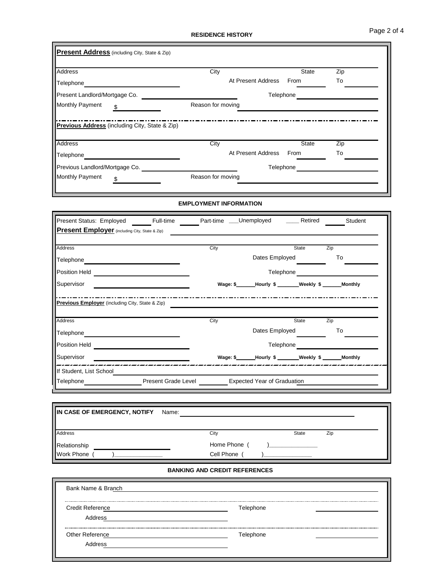Page 2 of 4

#### **RESIDENCE HISTORY**

| To    |
|-------|
|       |
|       |
|       |
| Zip   |
| To    |
|       |
|       |
| State |

### **EMPLOYMENT INFORMATION**

| Present Status: Employed<br>Full-time                 | Part-time ___Unemployed |                                                       | Retired      | Student |
|-------------------------------------------------------|-------------------------|-------------------------------------------------------|--------------|---------|
| <b>Present Employer</b> (including City, State & Zip) |                         |                                                       |              |         |
|                                                       |                         |                                                       |              |         |
| <b>Address</b>                                        | City                    |                                                       | State        | Zip     |
| Telephone                                             |                         | Dates Employed                                        |              | To      |
| Position Held                                         |                         | Telephone                                             |              |         |
| Supervisor                                            |                         | Wage: \$_______Hourly \$_______Weekly \$______Monthly |              |         |
| Previous Employer (including City, State & Zip)       |                         |                                                       |              |         |
| <b>Address</b>                                        | City                    |                                                       | <b>State</b> | Zip     |
|                                                       |                         | Dates Employed                                        |              | To      |
| Telephone<br><b>Position Held</b>                     |                         | Telephone                                             |              |         |
| Supervisor                                            |                         | Wage: \$ _______ Hourly \$ ________ Weekly \$         |              | Monthly |
| If Student, List School                               |                         |                                                       |              |         |

| IN CASE OF EMERGENCY, NOTIFY          | Name: |            |              |     |
|---------------------------------------|-------|------------|--------------|-----|
| Address<br>Relationship<br>Work Phone |       | City       | <b>State</b> | Zip |
|                                       |       | Home Phone |              |     |
|                                       |       | Cell Phone |              |     |

#### **BANKING AND CREDIT REFERENCES**

| Bank Name & Branch                 |                  |  |
|------------------------------------|------------------|--|
| <b>Credit Reference</b><br>Address | <b>felephone</b> |  |
| Other Reference<br>Address         | <b>Felephone</b> |  |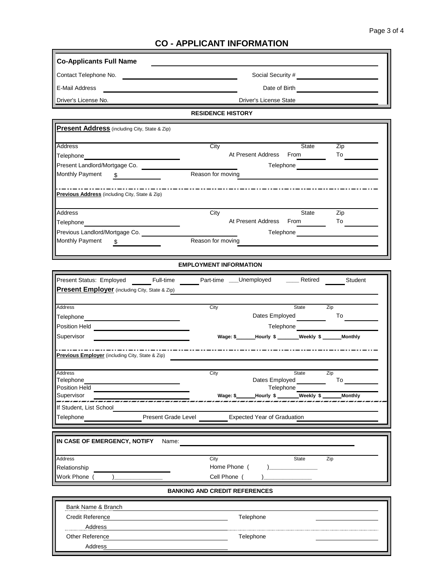### **CO - APPLICANT INFORMATION**

| <b>Co-Applicants Full Name</b>                                                                                                                                                                                                                      |                                                                                                                                                                                                                                       |  |  |  |  |
|-----------------------------------------------------------------------------------------------------------------------------------------------------------------------------------------------------------------------------------------------------|---------------------------------------------------------------------------------------------------------------------------------------------------------------------------------------------------------------------------------------|--|--|--|--|
|                                                                                                                                                                                                                                                     | Social Security #<br><u> Letting and the second second</u> second second second second second second second second second second second second second second second second second second second second second second second second se |  |  |  |  |
| E-Mail Address                                                                                                                                                                                                                                      | <u> 1980 - Johann Barn, amerikansk politiker (d. 1980)</u>                                                                                                                                                                            |  |  |  |  |
| Driver's License No.                                                                                                                                                                                                                                | Driver's License State                                                                                                                                                                                                                |  |  |  |  |
|                                                                                                                                                                                                                                                     | <b>RESIDENCE HISTORY</b>                                                                                                                                                                                                              |  |  |  |  |
| Present Address (including City, State & Zip)                                                                                                                                                                                                       |                                                                                                                                                                                                                                       |  |  |  |  |
|                                                                                                                                                                                                                                                     |                                                                                                                                                                                                                                       |  |  |  |  |
| Address                                                                                                                                                                                                                                             | City<br>State<br>Zip                                                                                                                                                                                                                  |  |  |  |  |
| Telephone                                                                                                                                                                                                                                           | At Present Address From<br>To                                                                                                                                                                                                         |  |  |  |  |
| Monthly Payment<br>\$                                                                                                                                                                                                                               | Reason for moving                                                                                                                                                                                                                     |  |  |  |  |
|                                                                                                                                                                                                                                                     |                                                                                                                                                                                                                                       |  |  |  |  |
| Previous Address (including City, State & Zip)                                                                                                                                                                                                      |                                                                                                                                                                                                                                       |  |  |  |  |
| Address                                                                                                                                                                                                                                             | City<br>State<br>Zip                                                                                                                                                                                                                  |  |  |  |  |
| Telephone___________________                                                                                                                                                                                                                        | At Present Address From _____                                                                                                                                                                                                         |  |  |  |  |
| Previous Landlord/Mortgage Co. [Cross Co.]<br>Monthly Payment                                                                                                                                                                                       | Reason for moving                                                                                                                                                                                                                     |  |  |  |  |
| $\frac{1}{\sqrt{2}}$                                                                                                                                                                                                                                |                                                                                                                                                                                                                                       |  |  |  |  |
|                                                                                                                                                                                                                                                     |                                                                                                                                                                                                                                       |  |  |  |  |
|                                                                                                                                                                                                                                                     | <b>EMPLOYMENT INFORMATION</b>                                                                                                                                                                                                         |  |  |  |  |
| Present Employer (including City, State & Zip)                                                                                                                                                                                                      | Present Status: Employed Full-time Part-time ___Unemployed ____Retired Student                                                                                                                                                        |  |  |  |  |
| Address<br>Telephone_________________________________                                                                                                                                                                                               | City<br>State<br>Zip<br>Dates Employed                                                                                                                                                                                                |  |  |  |  |
| Position Held<br><u> Letting and the contract of the contract of the contract of the contract of the contract of the contract of the contract of the contract of the contract of the contract of the contract of the contract of </u><br>Supervisor | Wage: \$______Hourly \$ ______Weekly \$ _____Monthly                                                                                                                                                                                  |  |  |  |  |
| Previous Employer (including City, State & Zip)                                                                                                                                                                                                     |                                                                                                                                                                                                                                       |  |  |  |  |
|                                                                                                                                                                                                                                                     |                                                                                                                                                                                                                                       |  |  |  |  |
|                                                                                                                                                                                                                                                     | State<br>City<br>Zip<br>Dates Employed<br>To                                                                                                                                                                                          |  |  |  |  |
|                                                                                                                                                                                                                                                     | Telephone                                                                                                                                                                                                                             |  |  |  |  |
| Address<br>Telephone<br>Position Held<br>Supervisor                                                                                                                                                                                                 | Wage: \$ _______ Hourly \$ ________ Weekly \$<br><b>Monthly</b>                                                                                                                                                                       |  |  |  |  |
| If Student, List School<br>Telephone                                                                                                                                                                                                                | Present Grade Level<br><b>Expected Year of Graduation</b>                                                                                                                                                                             |  |  |  |  |
|                                                                                                                                                                                                                                                     |                                                                                                                                                                                                                                       |  |  |  |  |
|                                                                                                                                                                                                                                                     | Name:                                                                                                                                                                                                                                 |  |  |  |  |
|                                                                                                                                                                                                                                                     | City<br>State<br>Zip                                                                                                                                                                                                                  |  |  |  |  |
|                                                                                                                                                                                                                                                     | Home Phone (                                                                                                                                                                                                                          |  |  |  |  |
|                                                                                                                                                                                                                                                     | Cell Phone (<br><b>BANKING AND CREDIT REFERENCES</b>                                                                                                                                                                                  |  |  |  |  |
| IN CASE OF EMERGENCY, NOTIFY<br>Address<br>Relationship<br>Work Phone                                                                                                                                                                               |                                                                                                                                                                                                                                       |  |  |  |  |
| <b>Bank Name &amp; Branch</b>                                                                                                                                                                                                                       |                                                                                                                                                                                                                                       |  |  |  |  |
| <b>Credit Reference</b><br>Address                                                                                                                                                                                                                  | Telephone                                                                                                                                                                                                                             |  |  |  |  |
| Other Reference                                                                                                                                                                                                                                     | Telephone                                                                                                                                                                                                                             |  |  |  |  |